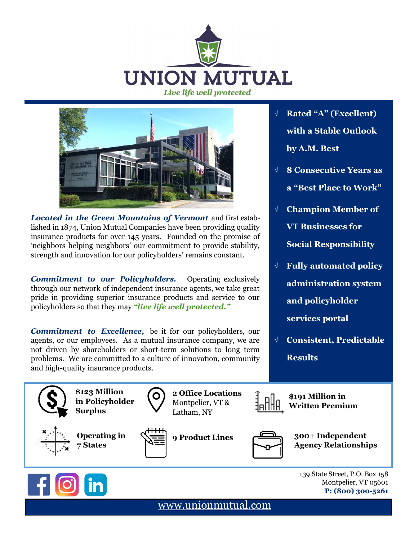



*Located in the Green Mountains of Vermont* and first established in 1874, Union Mutual Companies have been providing quality insurance products for over 145 years. Founded on the promise of 'neighbors helping neighbors' our commitment to provide stability, strength and innovation for our policyholders' remains constant.

*Commitment to our Policyholders.* Operating exclusively through our network of independent insurance agents, we take great pride in providing superior insurance products and service to our policyholders so that they may *"live life well protected."*

*Commitment to Excellence,* be it for our policyholders, our agents, or our employees. As a mutual insurance company, we are not driven by shareholders or short-term solutions to long term problems. We are committed to a culture of innovation, community and high-quality insurance products.

- **Rated "A" (Excellent) with a Stable Outlook by A.M. Best**
- **8 Consecutive Years as a "Best Place to Work"**
- **Champion Member of VT Businesses for Social Responsibility**
- **Fully automated policy administration system and policyholder services portal**
- **Consistent, Predictable Results**





139 State Street, P.O. Box 158 Montpelier, VT 05601 **P: (800) 300-5261**

[www.unionmu](http://www.Union)tual.com